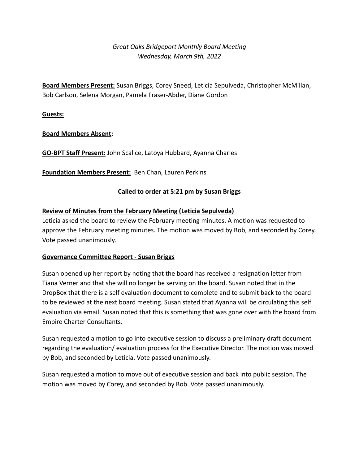# *Great Oaks Bridgeport Monthly Board Meeting Wednesday, March 9th, 2022*

**Board Members Present:** Susan Briggs, Corey Sneed, Leticia Sepulveda, Christopher McMillan, Bob Carlson, Selena Morgan, Pamela Fraser-Abder, Diane Gordon

**Guests:**

# **Board Members Absent:**

**GO-BPT Staff Present:** John Scalice, Latoya Hubbard, Ayanna Charles

**Foundation Members Present:** Ben Chan, Lauren Perkins

# **Called to order at 5:21 pm by Susan Briggs**

# **Review of Minutes from the February Meeting (Leticia Sepulveda)**

Leticia asked the board to review the February meeting minutes. A motion was requested to approve the February meeting minutes. The motion was moved by Bob, and seconded by Corey. Vote passed unanimously.

# **Governance Committee Report - Susan Briggs**

Susan opened up her report by noting that the board has received a resignation letter from Tiana Verner and that she will no longer be serving on the board. Susan noted that in the DropBox that there is a self evaluation document to complete and to submit back to the board to be reviewed at the next board meeting. Susan stated that Ayanna will be circulating this self evaluation via email. Susan noted that this is something that was gone over with the board from Empire Charter Consultants.

Susan requested a motion to go into executive session to discuss a preliminary draft document regarding the evaluation/ evaluation process for the Executive Director. The motion was moved by Bob, and seconded by Leticia. Vote passed unanimously.

Susan requested a motion to move out of executive session and back into public session. The motion was moved by Corey, and seconded by Bob. Vote passed unanimously.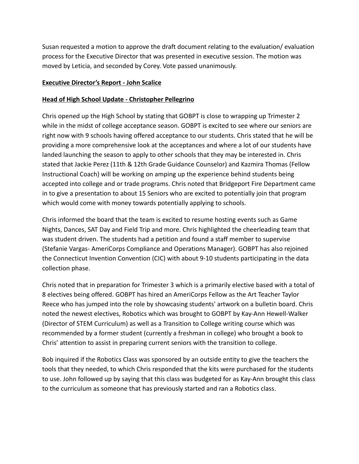Susan requested a motion to approve the draft document relating to the evaluation/ evaluation process for the Executive Director that was presented in executive session. The motion was moved by Leticia, and seconded by Corey. Vote passed unanimously.

#### **Executive Director's Report - John Scalice**

#### **Head of High School Update - Christopher Pellegrino**

Chris opened up the High School by stating that GOBPT is close to wrapping up Trimester 2 while in the midst of college acceptance season. GOBPT is excited to see where our seniors are right now with 9 schools having offered acceptance to our students. Chris stated that he will be providing a more comprehensive look at the acceptances and where a lot of our students have landed launching the season to apply to other schools that they may be interested in. Chris stated that Jackie Perez (11th & 12th Grade Guidance Counselor) and Kazmira Thomas (Fellow Instructional Coach) will be working on amping up the experience behind students being accepted into college and or trade programs. Chris noted that Bridgeport Fire Department came in to give a presentation to about 15 Seniors who are excited to potentially join that program which would come with money towards potentially applying to schools.

Chris informed the board that the team is excited to resume hosting events such as Game Nights, Dances, SAT Day and Field Trip and more. Chris highlighted the cheerleading team that was student driven. The students had a petition and found a staff member to supervise (Stefanie Vargas- AmeriCorps Compliance and Operations Manager). GOBPT has also rejoined the Connecticut Invention Convention (CIC) with about 9-10 students participating in the data collection phase.

Chris noted that in preparation for Trimester 3 which is a primarily elective based with a total of 8 electives being offered. GOBPT has hired an AmeriCorps Fellow as the Art Teacher Taylor Reece who has jumped into the role by showcasing students' artwork on a bulletin board. Chris noted the newest electives, Robotics which was brought to GOBPT by Kay-Ann Hewell-Walker (Director of STEM Curriculum) as well as a Transition to College writing course which was recommended by a former student (currently a freshman in college) who brought a book to Chris' attention to assist in preparing current seniors with the transition to college.

Bob inquired if the Robotics Class was sponsored by an outside entity to give the teachers the tools that they needed, to which Chris responded that the kits were purchased for the students to use. John followed up by saying that this class was budgeted for as Kay-Ann brought this class to the curriculum as someone that has previously started and ran a Robotics class.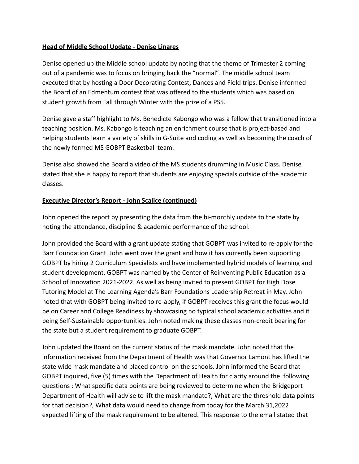# **Head of Middle School Update - Denise Linares**

Denise opened up the Middle school update by noting that the theme of Trimester 2 coming out of a pandemic was to focus on bringing back the "normal". The middle school team executed that by hosting a Door Decorating Contest, Dances and Field trips. Denise informed the Board of an Edmentum contest that was offered to the students which was based on student growth from Fall through Winter with the prize of a PS5.

Denise gave a staff highlight to Ms. Benedicte Kabongo who was a fellow that transitioned into a teaching position. Ms. Kabongo is teaching an enrichment course that is project-based and helping students learn a variety of skills in G-Suite and coding as well as becoming the coach of the newly formed MS GOBPT Basketball team.

Denise also showed the Board a video of the MS students drumming in Music Class. Denise stated that she is happy to report that students are enjoying specials outside of the academic classes.

#### **Executive Director's Report - John Scalice (continued)**

John opened the report by presenting the data from the bi-monthly update to the state by noting the attendance, discipline & academic performance of the school.

John provided the Board with a grant update stating that GOBPT was invited to re-apply for the Barr Foundation Grant. John went over the grant and how it has currently been supporting GOBPT by hiring 2 Curriculum Specialists and have implemented hybrid models of learning and student development. GOBPT was named by the Center of Reinventing Public Education as a School of Innovation 2021-2022. As well as being invited to present GOBPT for High Dose Tutoring Model at The Learning Agenda's Barr Foundations Leadership Retreat in May. John noted that with GOBPT being invited to re-apply, if GOBPT receives this grant the focus would be on Career and College Readiness by showcasing no typical school academic activities and it being Self-Sustainable opportunities. John noted making these classes non-credit bearing for the state but a student requirement to graduate GOBPT.

John updated the Board on the current status of the mask mandate. John noted that the information received from the Department of Health was that Governor Lamont has lifted the state wide mask mandate and placed control on the schools. John informed the Board that GOBPT inquired, five (5) times with the Department of Health for clarity around the following questions : What specific data points are being reviewed to determine when the Bridgeport Department of Health will advise to lift the mask mandate?, What are the threshold data points for that decision?, What data would need to change from today for the March 31,2022 expected lifting of the mask requirement to be altered. This response to the email stated that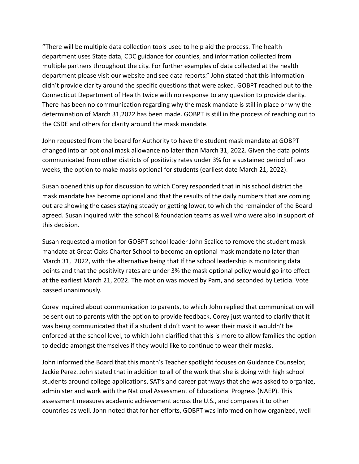"There will be multiple data collection tools used to help aid the process. The health department uses State data, CDC guidance for counties, and information collected from multiple partners throughout the city. For further examples of data collected at the health department please visit our website and see data reports." John stated that this information didn't provide clarity around the specific questions that were asked. GOBPT reached out to the Connecticut Department of Health twice with no response to any question to provide clarity. There has been no communication regarding why the mask mandate is still in place or why the determination of March 31,2022 has been made. GOBPT is still in the process of reaching out to the CSDE and others for clarity around the mask mandate.

John requested from the board for Authority to have the student mask mandate at GOBPT changed into an optional mask allowance no later than March 31, 2022. Given the data points communicated from other districts of positivity rates under 3% for a sustained period of two weeks, the option to make masks optional for students (earliest date March 21, 2022).

Susan opened this up for discussion to which Corey responded that in his school district the mask mandate has become optional and that the results of the daily numbers that are coming out are showing the cases staying steady or getting lower, to which the remainder of the Board agreed. Susan inquired with the school & foundation teams as well who were also in support of this decision.

Susan requested a motion for GOBPT school leader John Scalice to remove the student mask mandate at Great Oaks Charter School to become an optional mask mandate no later than March 31, 2022, with the alternative being that If the school leadership is monitoring data points and that the positivity rates are under 3% the mask optional policy would go into effect at the earliest March 21, 2022. The motion was moved by Pam, and seconded by Leticia. Vote passed unanimously.

Corey inquired about communication to parents, to which John replied that communication will be sent out to parents with the option to provide feedback. Corey just wanted to clarify that it was being communicated that if a student didn't want to wear their mask it wouldn't be enforced at the school level, to which John clarified that this is more to allow families the option to decide amongst themselves if they would like to continue to wear their masks.

John informed the Board that this month's Teacher spotlight focuses on Guidance Counselor, Jackie Perez. John stated that in addition to all of the work that she is doing with high school students around college applications, SAT's and career pathways that she was asked to organize, administer and work with the National Assessment of Educational Progress (NAEP). This assessment measures academic achievement across the U.S., and compares it to other countries as well. John noted that for her efforts, GOBPT was informed on how organized, well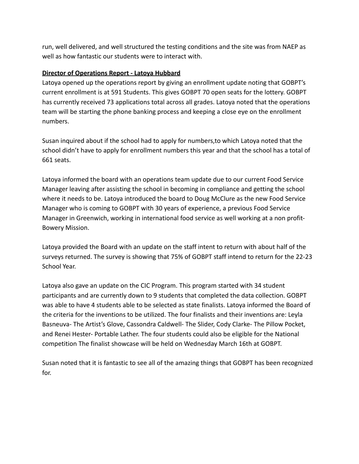run, well delivered, and well structured the testing conditions and the site was from NAEP as well as how fantastic our students were to interact with.

#### **Director of Operations Report - Latoya Hubbard**

Latoya opened up the operations report by giving an enrollment update noting that GOBPT's current enrollment is at 591 Students. This gives GOBPT 70 open seats for the lottery. GOBPT has currently received 73 applications total across all grades. Latoya noted that the operations team will be starting the phone banking process and keeping a close eye on the enrollment numbers.

Susan inquired about if the school had to apply for numbers,to which Latoya noted that the school didn't have to apply for enrollment numbers this year and that the school has a total of 661 seats.

Latoya informed the board with an operations team update due to our current Food Service Manager leaving after assisting the school in becoming in compliance and getting the school where it needs to be. Latoya introduced the board to Doug McClure as the new Food Service Manager who is coming to GOBPT with 30 years of experience, a previous Food Service Manager in Greenwich, working in international food service as well working at a non profit-Bowery Mission.

Latoya provided the Board with an update on the staff intent to return with about half of the surveys returned. The survey is showing that 75% of GOBPT staff intend to return for the 22-23 School Year.

Latoya also gave an update on the CIC Program. This program started with 34 student participants and are currently down to 9 students that completed the data collection. GOBPT was able to have 4 students able to be selected as state finalists. Latoya informed the Board of the criteria for the inventions to be utilized. The four finalists and their inventions are: Leyla Basneuva- The Artist's Glove, Cassondra Caldwell- The Slider, Cody Clarke- The Pillow Pocket, and Renei Hester- Portable Lather. The four students could also be eligible for the National competition The finalist showcase will be held on Wednesday March 16th at GOBPT.

Susan noted that it is fantastic to see all of the amazing things that GOBPT has been recognized for.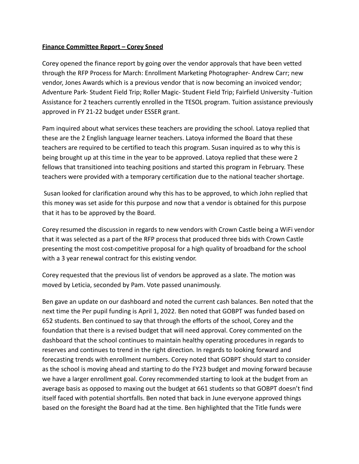#### **Finance Committee Report – Corey Sneed**

Corey opened the finance report by going over the vendor approvals that have been vetted through the RFP Process for March: Enrollment Marketing Photographer- Andrew Carr; new vendor, Jones Awards which is a previous vendor that is now becoming an invoiced vendor; Adventure Park- Student Field Trip; Roller Magic- Student Field Trip; Fairfield University -Tuition Assistance for 2 teachers currently enrolled in the TESOL program. Tuition assistance previously approved in FY 21-22 budget under ESSER grant.

Pam inquired about what services these teachers are providing the school. Latoya replied that these are the 2 English language learner teachers. Latoya informed the Board that these teachers are required to be certified to teach this program. Susan inquired as to why this is being brought up at this time in the year to be approved. Latoya replied that these were 2 fellows that transitioned into teaching positions and started this program in February. These teachers were provided with a temporary certification due to the national teacher shortage.

Susan looked for clarification around why this has to be approved, to which John replied that this money was set aside for this purpose and now that a vendor is obtained for this purpose that it has to be approved by the Board.

Corey resumed the discussion in regards to new vendors with Crown Castle being a WiFi vendor that it was selected as a part of the RFP process that produced three bids with Crown Castle presenting the most cost-competitive proposal for a high quality of broadband for the school with a 3 year renewal contract for this existing vendor.

Corey requested that the previous list of vendors be approved as a slate. The motion was moved by Leticia, seconded by Pam. Vote passed unanimously.

Ben gave an update on our dashboard and noted the current cash balances. Ben noted that the next time the Per pupil funding is April 1, 2022. Ben noted that GOBPT was funded based on 652 students. Ben continued to say that through the efforts of the school, Corey and the foundation that there is a revised budget that will need approval. Corey commented on the dashboard that the school continues to maintain healthy operating procedures in regards to reserves and continues to trend in the right direction. In regards to looking forward and forecasting trends with enrollment numbers. Corey noted that GOBPT should start to consider as the school is moving ahead and starting to do the FY23 budget and moving forward because we have a larger enrollment goal. Corey recommended starting to look at the budget from an average basis as opposed to maxing out the budget at 661 students so that GOBPT doesn't find itself faced with potential shortfalls. Ben noted that back in June everyone approved things based on the foresight the Board had at the time. Ben highlighted that the Title funds were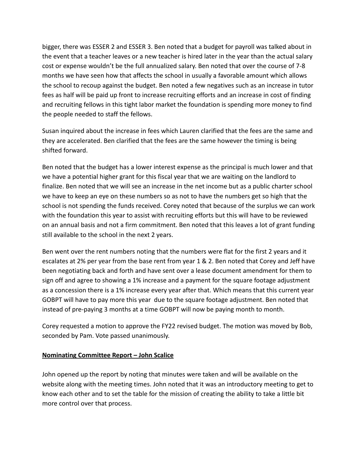bigger, there was ESSER 2 and ESSER 3. Ben noted that a budget for payroll was talked about in the event that a teacher leaves or a new teacher is hired later in the year than the actual salary cost or expense wouldn't be the full annualized salary. Ben noted that over the course of 7-8 months we have seen how that affects the school in usually a favorable amount which allows the school to recoup against the budget. Ben noted a few negatives such as an increase in tutor fees as half will be paid up front to increase recruiting efforts and an increase in cost of finding and recruiting fellows in this tight labor market the foundation is spending more money to find the people needed to staff the fellows.

Susan inquired about the increase in fees which Lauren clarified that the fees are the same and they are accelerated. Ben clarified that the fees are the same however the timing is being shifted forward.

Ben noted that the budget has a lower interest expense as the principal is much lower and that we have a potential higher grant for this fiscal year that we are waiting on the landlord to finalize. Ben noted that we will see an increase in the net income but as a public charter school we have to keep an eye on these numbers so as not to have the numbers get so high that the school is not spending the funds received. Corey noted that because of the surplus we can work with the foundation this year to assist with recruiting efforts but this will have to be reviewed on an annual basis and not a firm commitment. Ben noted that this leaves a lot of grant funding still available to the school in the next 2 years.

Ben went over the rent numbers noting that the numbers were flat for the first 2 years and it escalates at 2% per year from the base rent from year 1 & 2. Ben noted that Corey and Jeff have been negotiating back and forth and have sent over a lease document amendment for them to sign off and agree to showing a 1% increase and a payment for the square footage adjustment as a concession there is a 1% increase every year after that. Which means that this current year GOBPT will have to pay more this year due to the square footage adjustment. Ben noted that instead of pre-paying 3 months at a time GOBPT will now be paying month to month.

Corey requested a motion to approve the FY22 revised budget. The motion was moved by Bob, seconded by Pam. Vote passed unanimously.

# **Nominating Committee Report – John Scalice**

John opened up the report by noting that minutes were taken and will be available on the website along with the meeting times. John noted that it was an introductory meeting to get to know each other and to set the table for the mission of creating the ability to take a little bit more control over that process.